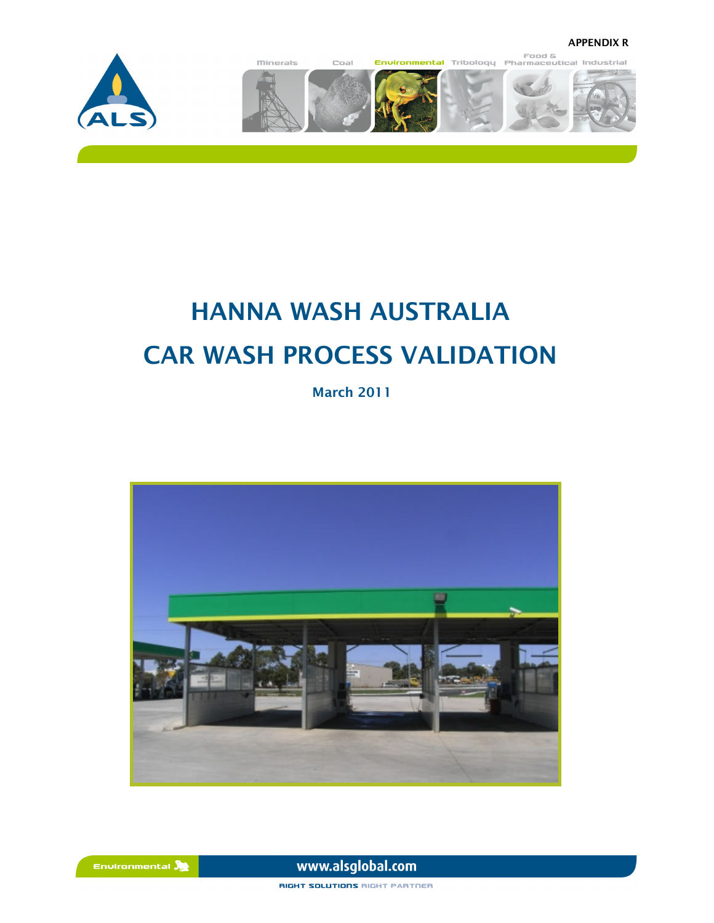



# HANNA WASH AUSTRALIA CAR WASH PROCESS VALIDATION

March 2011



www.alsqlobal.com

RIGHT SOLUTIONS RIGHT PARTNER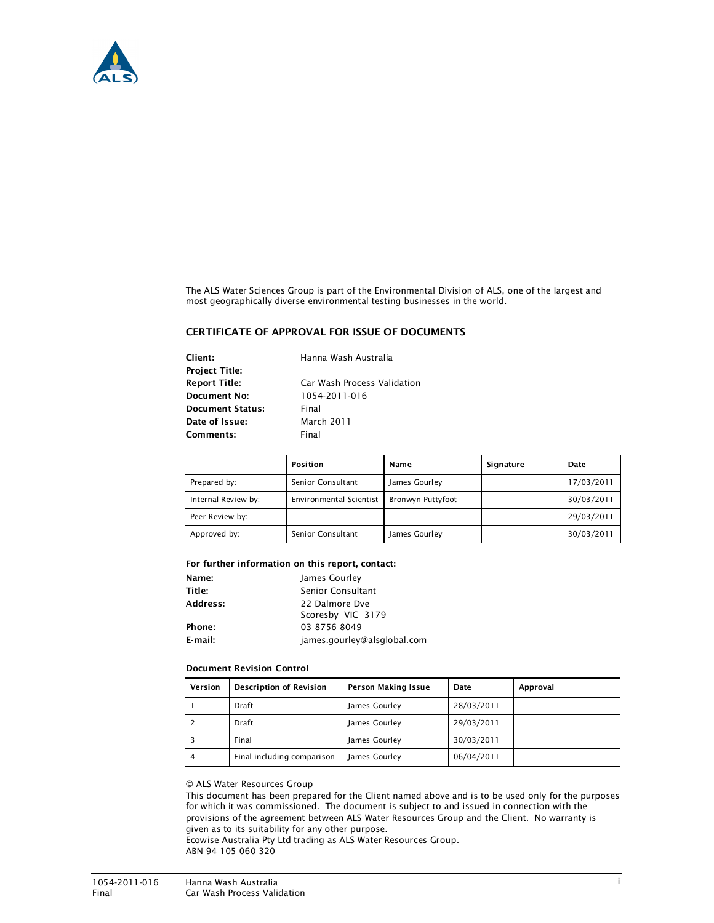

The ALS Water Sciences Group is part of the Environmental Division of ALS, one of the largest and most geographically diverse environmental testing businesses in the world.

### CERTIFICATE OF APPROVAL FOR ISSUE OF DOCUMENTS

Client: Hanna Wash Australia Project Title: Document No: 1054-2011-016 Document Status: Final Date of Issue: March 2011 Comments: Final

Report Title: Car Wash Process Validation

|                     | Position                | Name                     | Signature | Date       |
|---------------------|-------------------------|--------------------------|-----------|------------|
| Prepared by:        | Senior Consultant       | James Gourley            |           | 17/03/2011 |
| Internal Review by: | Environmental Scientist | <b>Bronwyn Puttyfoot</b> |           | 30/03/2011 |
| Peer Review by:     |                         |                          |           | 29/03/2011 |
| Approved by:        | Senior Consultant       | James Gourley            |           | 30/03/2011 |

### For further information on this report, contact:

| Name:    | James Gourley               |  |
|----------|-----------------------------|--|
| Title:   | Senior Consultant           |  |
| Address: | 22 Dalmore Dve              |  |
|          | Scoresby VIC 3179           |  |
| Phone:   | 03 8756 8049                |  |
| E-mail:  | james.gourley@alsglobal.com |  |

### Document Revision Control

| Version | Description of Revision    | Person Making Issue | Date       | Approval |
|---------|----------------------------|---------------------|------------|----------|
|         | Draft                      | James Gourley       | 28/03/2011 |          |
|         | Draft                      | James Gourley       | 29/03/2011 |          |
|         | Final                      | James Gourley       | 30/03/2011 |          |
| 4       | Final including comparison | James Gourley       | 06/04/2011 |          |

### © ALS Water Resources Group

This document has been prepared for the Client named above and is to be used only for the purposes for which it was commissioned. The document is subject to and issued in connection with the provisions of the agreement between ALS Water Resources Group and the Client. No warranty is given as to its suitability for any other purpose.

Ecowise Australia Pty Ltd trading as ALS Water Resources Group. ABN 94 105 060 320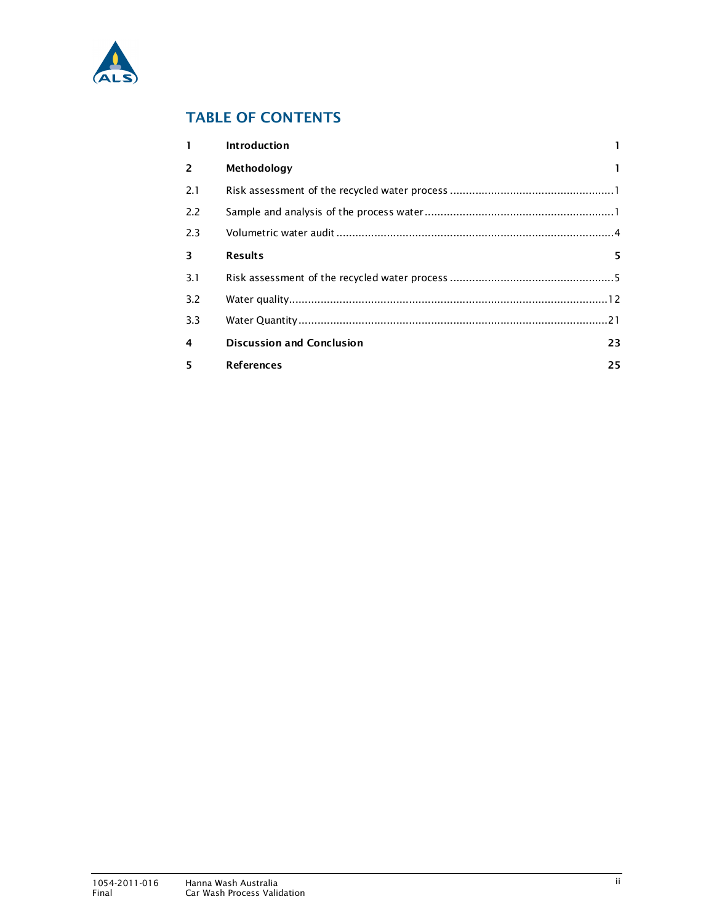

# TABLE OF CONTENTS

| $\mathbf{1}$   | <b>Introduction</b>              |    |
|----------------|----------------------------------|----|
| $\overline{2}$ | Methodology                      |    |
| 2.1            |                                  |    |
| 2.2            |                                  |    |
| 2.3            |                                  |    |
| 3              | <b>Results</b>                   | 5. |
| 3.1            |                                  |    |
| 3.2            |                                  |    |
| 3.3            |                                  |    |
| 4              | <b>Discussion and Conclusion</b> | 23 |
| 5              | <b>References</b>                | 25 |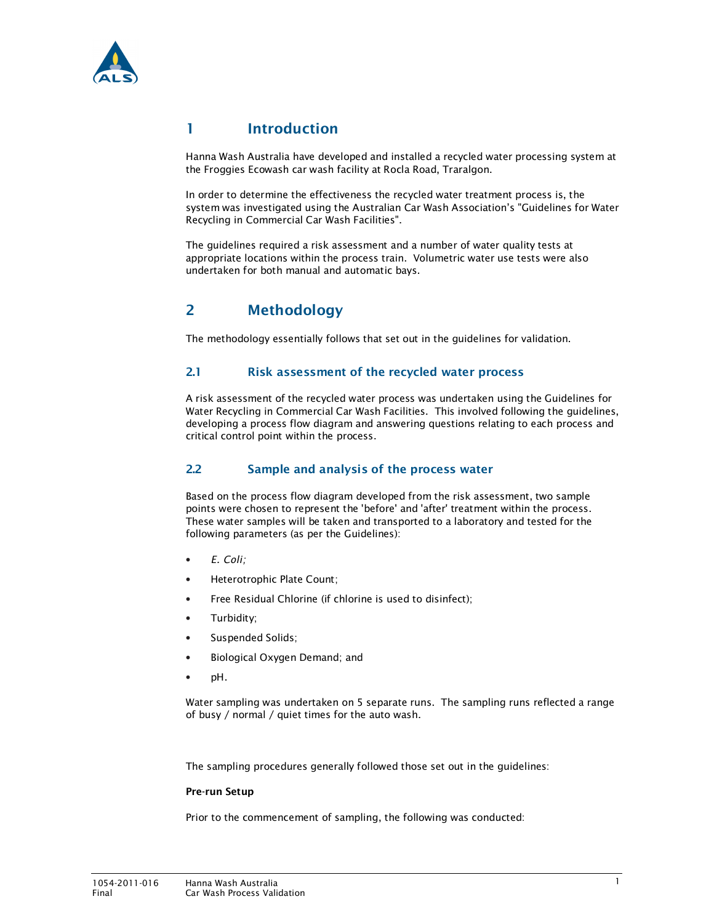

# 1 Introduction

Hanna Wash Australia have developed and installed a recycled water processing system at the Froggies Ecowash car wash facility at Rocla Road, Traralgon.

In order to determine the effectiveness the recycled water treatment process is, the system was investigated using the Australian Car Wash Association's "Guidelines for Water Recycling in Commercial Car Wash Facilities".

The guidelines required a risk assessment and a number of water quality tests at appropriate locations within the process train. Volumetric water use tests were also undertaken for both manual and automatic bays.

# 2 Methodology

The methodology essentially follows that set out in the guidelines for validation.

### 2.1 Risk assessment of the recycled water process

A risk assessment of the recycled water process was undertaken using the Guidelines for Water Recycling in Commercial Car Wash Facilities. This involved following the guidelines, developing a process flow diagram and answering questions relating to each process and critical control point within the process.

### 2.2 Sample and analysis of the process water

Based on the process flow diagram developed from the risk assessment, two sample points were chosen to represent the 'before' and 'after' treatment within the process. These water samples will be taken and transported to a laboratory and tested for the following parameters (as per the Guidelines):

- E. Coli;
- Heterotrophic Plate Count;
- Free Residual Chlorine (if chlorine is used to disinfect);
- Turbidity;
- Suspended Solids;
- Biological Oxygen Demand; and
- pH.

Water sampling was undertaken on 5 separate runs. The sampling runs reflected a range of busy / normal / quiet times for the auto wash.

The sampling procedures generally followed those set out in the guidelines:

### Pre-run Setup

Prior to the commencement of sampling, the following was conducted: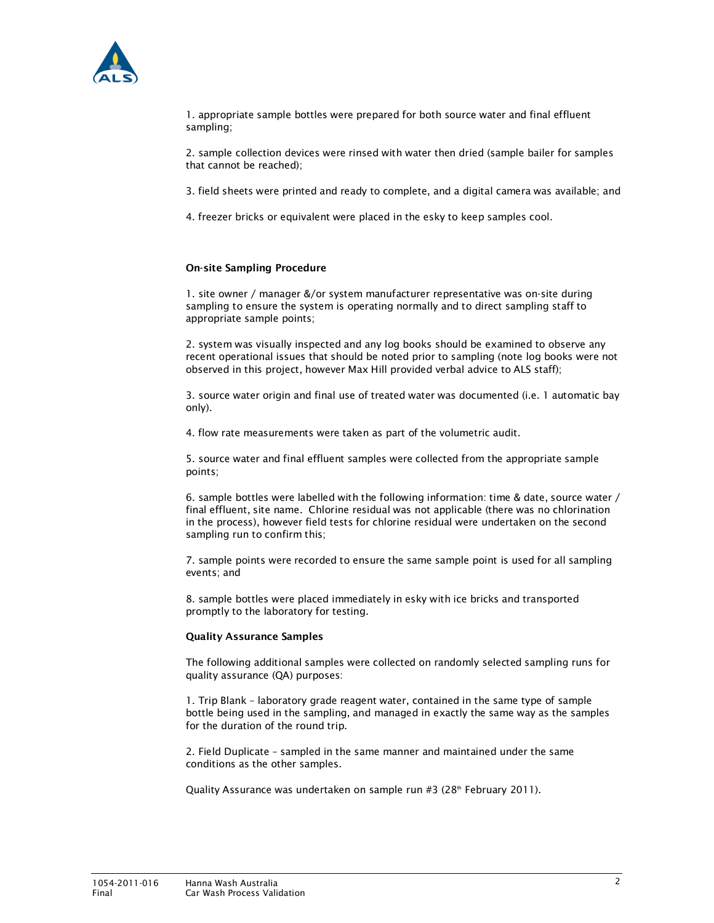

1. appropriate sample bottles were prepared for both source water and final effluent sampling;

2. sample collection devices were rinsed with water then dried (sample bailer for samples that cannot be reached);

3. field sheets were printed and ready to complete, and a digital camera was available; and

4. freezer bricks or equivalent were placed in the esky to keep samples cool.

### On-site Sampling Procedure

1. site owner / manager &/or system manufacturer representative was on-site during sampling to ensure the system is operating normally and to direct sampling staff to appropriate sample points;

2. system was visually inspected and any log books should be examined to observe any recent operational issues that should be noted prior to sampling (note log books were not observed in this project, however Max Hill provided verbal advice to ALS staff);

3. source water origin and final use of treated water was documented (i.e. 1 automatic bay only).

4. flow rate measurements were taken as part of the volumetric audit.

5. source water and final effluent samples were collected from the appropriate sample points;

6. sample bottles were labelled with the following information: time & date, source water / final effluent, site name. Chlorine residual was not applicable (there was no chlorination in the process), however field tests for chlorine residual were undertaken on the second sampling run to confirm this;

7. sample points were recorded to ensure the same sample point is used for all sampling events; and

8. sample bottles were placed immediately in esky with ice bricks and transported promptly to the laboratory for testing.

### Quality Assurance Samples

The following additional samples were collected on randomly selected sampling runs for quality assurance (QA) purposes:

1. Trip Blank – laboratory grade reagent water, contained in the same type of sample bottle being used in the sampling, and managed in exactly the same way as the samples for the duration of the round trip.

2. Field Duplicate – sampled in the same manner and maintained under the same conditions as the other samples.

Quality Assurance was undertaken on sample run #3 (28<sup>th</sup> February 2011).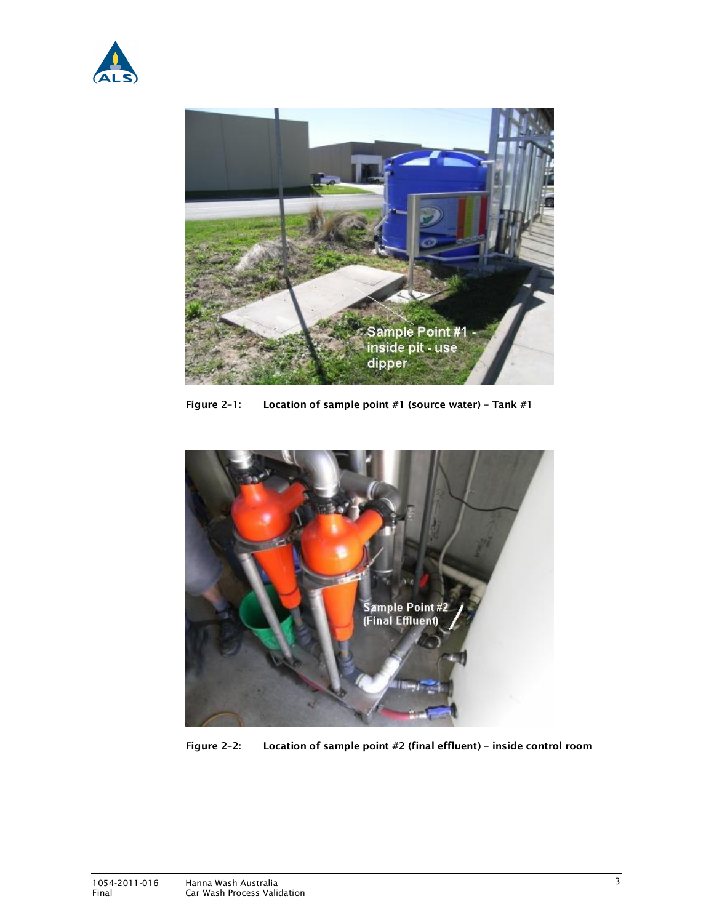



Figure 2–1: Location of sample point #1 (source water) – Tank #1



Figure 2–2: Location of sample point #2 (final effluent) – inside control room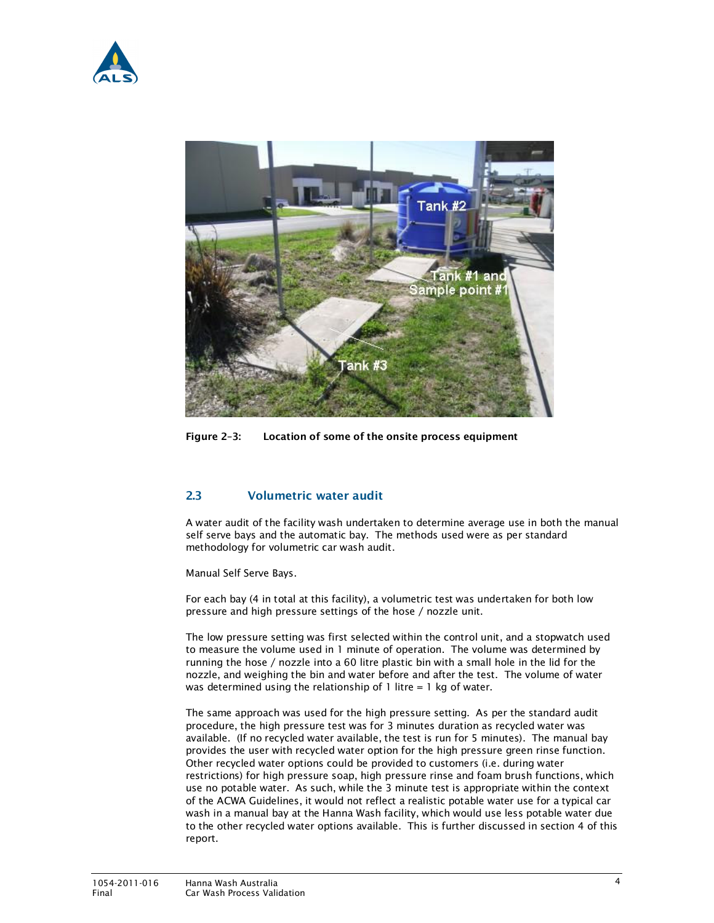



Figure 2–3: Location of some of the onsite process equipment

### 2.3 Volumetric water audit

A water audit of the facility wash undertaken to determine average use in both the manual self serve bays and the automatic bay. The methods used were as per standard methodology for volumetric car wash audit.

Manual Self Serve Bays.

For each bay (4 in total at this facility), a volumetric test was undertaken for both low pressure and high pressure settings of the hose / nozzle unit.

The low pressure setting was first selected within the control unit, and a stopwatch used to measure the volume used in 1 minute of operation. The volume was determined by running the hose / nozzle into a 60 litre plastic bin with a small hole in the lid for the nozzle, and weighing the bin and water before and after the test. The volume of water was determined using the relationship of  $1$  litre =  $1$  kg of water.

The same approach was used for the high pressure setting. As per the standard audit procedure, the high pressure test was for 3 minutes duration as recycled water was available. (If no recycled water available, the test is run for 5 minutes). The manual bay provides the user with recycled water option for the high pressure green rinse function. Other recycled water options could be provided to customers (i.e. during water restrictions) for high pressure soap, high pressure rinse and foam brush functions, which use no potable water. As such, while the 3 minute test is appropriate within the context of the ACWA Guidelines, it would not reflect a realistic potable water use for a typical car wash in a manual bay at the Hanna Wash facility, which would use less potable water due to the other recycled water options available. This is further discussed in section 4 of this report.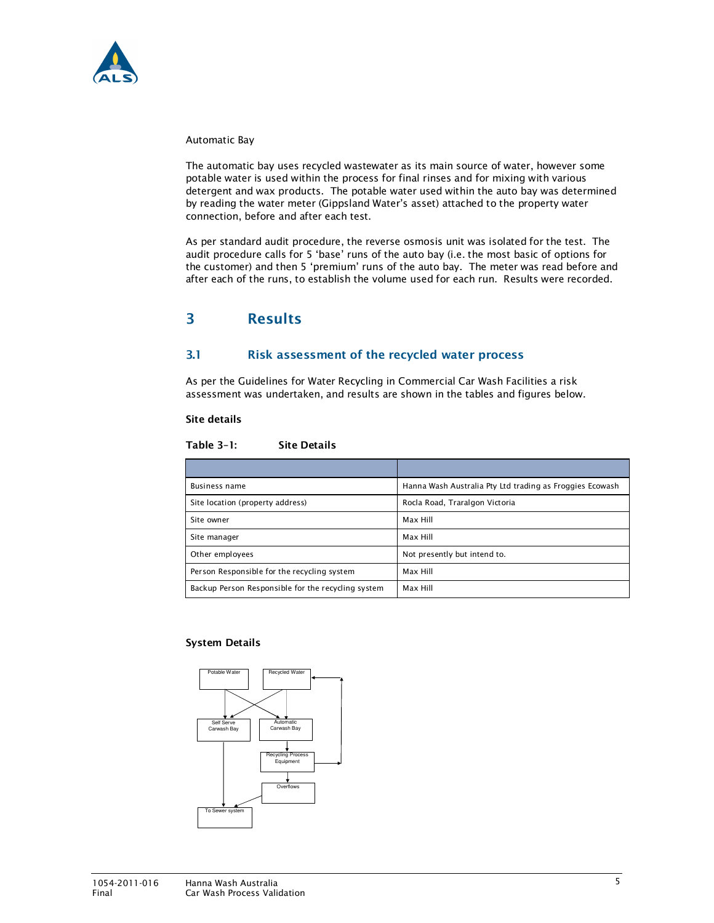

Automatic Bay

The automatic bay uses recycled wastewater as its main source of water, however some potable water is used within the process for final rinses and for mixing with various detergent and wax products. The potable water used within the auto bay was determined by reading the water meter (Gippsland Water's asset) attached to the property water connection, before and after each test.

As per standard audit procedure, the reverse osmosis unit was isolated for the test. The audit procedure calls for 5 'base' runs of the auto bay (i.e. the most basic of options for the customer) and then 5 'premium' runs of the auto bay. The meter was read before and after each of the runs, to establish the volume used for each run. Results were recorded.

# 3 Results

### 3.1 Risk assessment of the recycled water process

As per the Guidelines for Water Recycling in Commercial Car Wash Facilities a risk assessment was undertaken, and results are shown in the tables and figures below.

### Site details

### Table 3–1: Site Details

| <b>Business name</b>                               | Hanna Wash Australia Pty Ltd trading as Froggies Ecowash |
|----------------------------------------------------|----------------------------------------------------------|
| Site location (property address)                   | Rocla Road, Traralgon Victoria                           |
| Site owner                                         | Max Hill                                                 |
| Site manager                                       | Max Hill                                                 |
| Other employees                                    | Not presently but intend to.                             |
| Person Responsible for the recycling system        | Max Hill                                                 |
| Backup Person Responsible for the recycling system | Max Hill                                                 |

### System Details

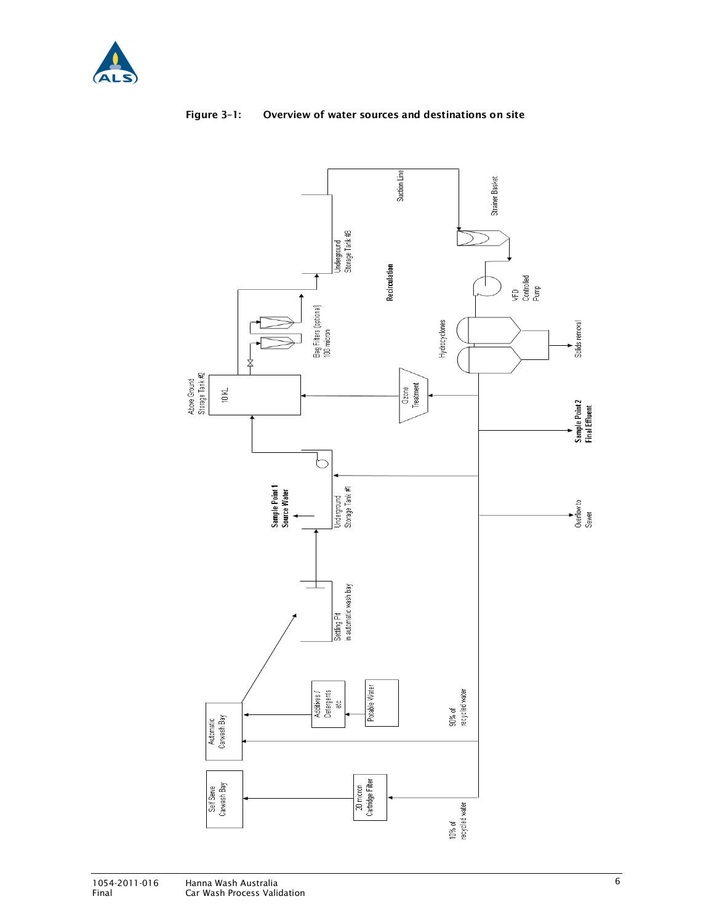



### Figure 3–1: Overview of water sources and destinations on site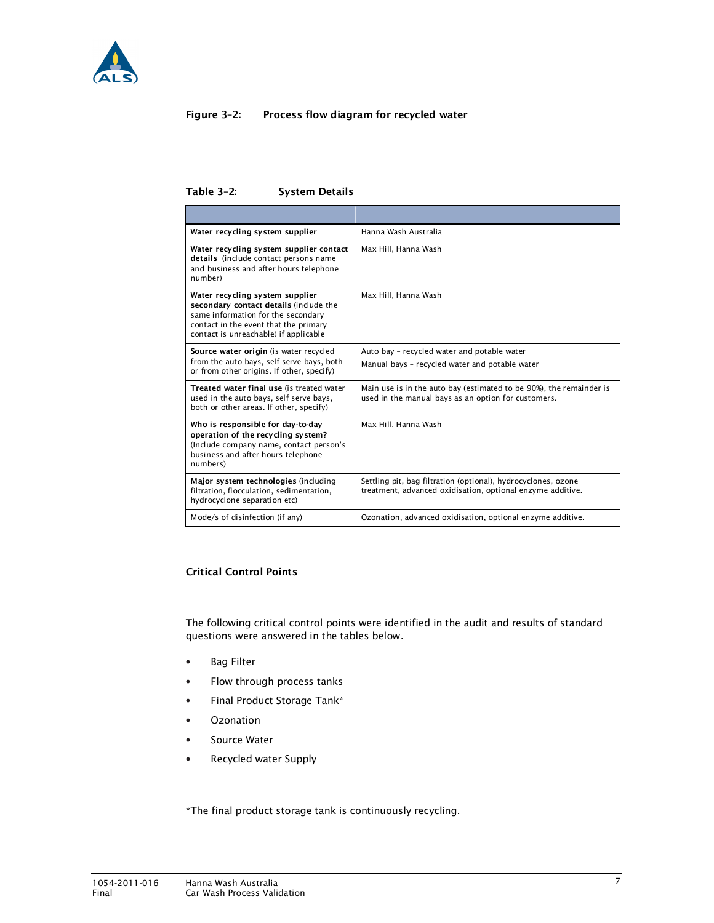

### Figure 3–2: Process flow diagram for recycled water

Table 3–2: System Details

| Water recycling system supplier                                                                                                                                                                   | Hanna Wash Australia                                                                                                        |
|---------------------------------------------------------------------------------------------------------------------------------------------------------------------------------------------------|-----------------------------------------------------------------------------------------------------------------------------|
| Water recycling system supplier contact<br>details (include contact persons name<br>and business and after hours telephone<br>number)                                                             | Max Hill, Hanna Wash                                                                                                        |
| Water recycling system supplier<br>secondary contact details (include the<br>same information for the secondary<br>contact in the event that the primary<br>contact is unreachable) if applicable | Max Hill, Hanna Wash                                                                                                        |
| Source water origin (is water recycled<br>from the auto bays, self serve bays, both<br>or from other origins. If other, specify)                                                                  | Auto bay - recycled water and potable water<br>Manual bays - recycled water and potable water                               |
| Treated water final use (is treated water<br>used in the auto bays, self serve bays,<br>both or other areas. If other, specify)                                                                   | Main use is in the auto bay (estimated to be 90%), the remainder is<br>used in the manual bays as an option for customers.  |
| Who is responsible for day-to-day<br>operation of the recycling system?<br>(Include company name, contact person's<br>business and after hours telephone<br>numbers)                              | Max Hill, Hanna Wash                                                                                                        |
| Major system technologies (including<br>filtration, flocculation, sedimentation,<br>hydrocyclone separation etc)                                                                                  | Settling pit, bag filtration (optional), hydrocyclones, ozone<br>treatment, advanced oxidisation, optional enzyme additive. |
| Mode/s of disinfection (if any)                                                                                                                                                                   | Ozonation, advanced oxidisation, optional enzyme additive.                                                                  |

### Critical Control Points

The following critical control points were identified in the audit and results of standard questions were answered in the tables below.

- Bag Filter
- Flow through process tanks
- Final Product Storage Tank\*
- Ozonation
- Source Water
- Recycled water Supply

\*The final product storage tank is continuously recycling.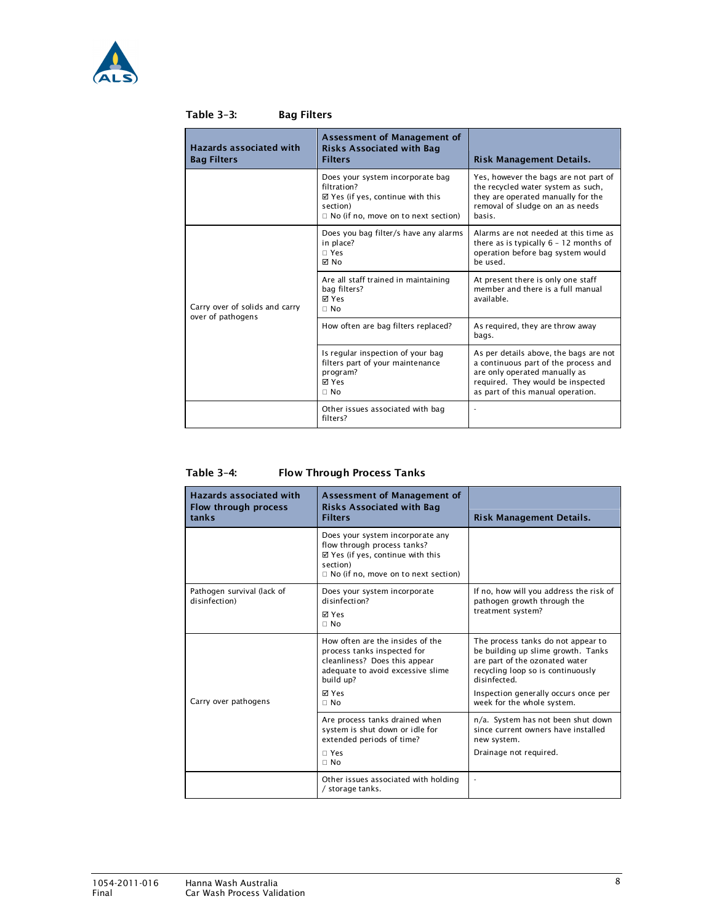

| <b>Hazards associated with</b><br><b>Bag Filters</b> | Assessment of Management of<br><b>Risks Associated with Bag</b><br><b>Filters</b>                                                         | Risk Management Details.                                                                                                                                                                  |
|------------------------------------------------------|-------------------------------------------------------------------------------------------------------------------------------------------|-------------------------------------------------------------------------------------------------------------------------------------------------------------------------------------------|
|                                                      | Does your system incorporate bag<br>filtration?<br>⊠ Yes (if yes, continue with this<br>section)<br>Q No (if no, move on to next section) | Yes, however the bags are not part of<br>the recycled water system as such,<br>they are operated manually for the<br>removal of sludge on an as needs<br>basis.                           |
|                                                      | Does you bag filter/s have any alarms<br>in place?<br>Q Yes<br><b>⊠</b> No                                                                | Alarms are not needed at this time as<br>there as is typically $6 - 12$ months of<br>operation before bag system would<br>be used.                                                        |
| Carry over of solids and carry<br>over of pathogens  | Are all staff trained in maintaining<br>bag filters?<br><b>⊠</b> Yes<br>Q No                                                              | At present there is only one staff<br>member and there is a full manual<br>available.                                                                                                     |
|                                                      | How often are bag filters replaced?                                                                                                       | As required, they are throw away<br>bags.                                                                                                                                                 |
|                                                      | Is regular inspection of your bag<br>filters part of your maintenance<br>program?<br><b>⊠</b> Yes<br>Q No                                 | As per details above, the bags are not<br>a continuous part of the process and<br>are only operated manually as<br>required. They would be inspected<br>as part of this manual operation. |
|                                                      | Other issues associated with bag<br>filters?                                                                                              |                                                                                                                                                                                           |

### Table 3–3: Bag Filters

### Table 3–4: Flow Through Process Tanks

| Hazards associated with<br>Flow through process<br>tanks | Assessment of Management of<br><b>Risks Associated with Bag</b><br><b>Filters</b>                                                                                          | Risk Management Details.                                                                                                                                                                                                              |
|----------------------------------------------------------|----------------------------------------------------------------------------------------------------------------------------------------------------------------------------|---------------------------------------------------------------------------------------------------------------------------------------------------------------------------------------------------------------------------------------|
|                                                          | Does your system incorporate any<br>flow through process tanks?<br>⊠ Yes (if yes, continue with this<br>section)<br>Q No (if no, move on to next section)                  |                                                                                                                                                                                                                                       |
| Pathogen survival (lack of<br>disinfection)              | Does your system incorporate<br>disinfection?<br>⊠ Yes<br>Q No                                                                                                             | If no, how will you address the risk of<br>pathogen growth through the<br>treatment system?                                                                                                                                           |
| Carry over pathogens                                     | How often are the insides of the<br>process tanks inspected for<br>cleanliness? Does this appear<br>adequate to avoid excessive slime<br>build up?<br><b>⊠</b> Yes<br>Q No | The process tanks do not appear to<br>be building up slime growth. Tanks<br>are part of the ozonated water<br>recycling loop so is continuously<br>disinfected.<br>Inspection generally occurs once per<br>week for the whole system. |
|                                                          | Are process tanks drained when<br>system is shut down or idle for<br>extended periods of time?<br>Q Yes<br>Q No                                                            | n/a. System has not been shut down<br>since current owners have installed<br>new system.<br>Drainage not required.                                                                                                                    |
|                                                          | Other issues associated with holding<br>/ storage tanks.                                                                                                                   |                                                                                                                                                                                                                                       |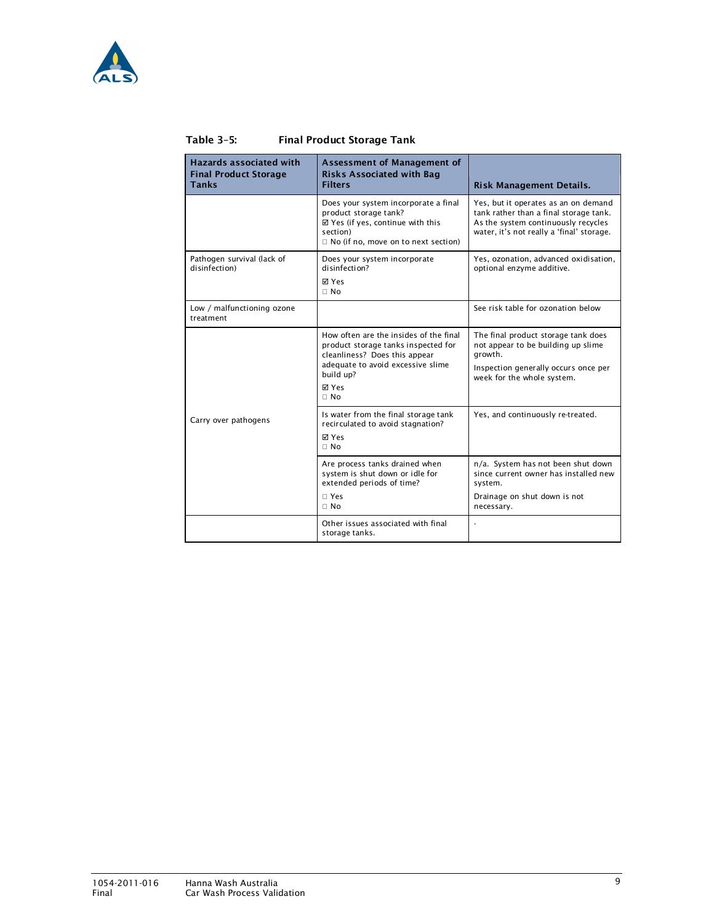

| Table 3-5: | <b>Final Product Storage Tank</b> |
|------------|-----------------------------------|
|------------|-----------------------------------|

| <b>Hazards associated with</b><br><b>Final Product Storage</b><br><b>Tanks</b> | Assessment of Management of<br><b>Risks Associated with Bag</b><br><b>Filters</b>                                                                                                        | <b>Risk Management Details.</b>                                                                                                                                    |
|--------------------------------------------------------------------------------|------------------------------------------------------------------------------------------------------------------------------------------------------------------------------------------|--------------------------------------------------------------------------------------------------------------------------------------------------------------------|
|                                                                                | Does your system incorporate a final<br>product storage tank?<br>⊠ Yes (if yes, continue with this<br>section)<br>Q No (if no, move on to next section)                                  | Yes, but it operates as an on demand<br>tank rather than a final storage tank.<br>As the system continuously recycles<br>water, it's not really a 'final' storage. |
| Pathogen survival (lack of<br>disinfection)                                    | Does your system incorporate<br>disinfection?<br><b>⊠</b> Yes<br>Q No                                                                                                                    | Yes, ozonation, advanced oxidisation,<br>optional enzyme additive.                                                                                                 |
| Low / malfunctioning ozone<br>treatment                                        |                                                                                                                                                                                          | See risk table for ozonation below                                                                                                                                 |
|                                                                                | How often are the insides of the final<br>product storage tanks inspected for<br>cleanliness? Does this appear<br>adequate to avoid excessive slime<br>build up?<br><b>⊠</b> Yes<br>Q No | The final product storage tank does<br>not appear to be building up slime<br>arowth.<br>Inspection generally occurs once per<br>week for the whole system.         |
| Carry over pathogens                                                           | Is water from the final storage tank<br>recirculated to avoid stagnation?<br><b>⊠</b> Yes<br>Q No                                                                                        | Yes, and continuously re-treated.                                                                                                                                  |
|                                                                                | Are process tanks drained when<br>system is shut down or idle for<br>extended periods of time?<br>Q Yes<br>Q No                                                                          | n/a. System has not been shut down<br>since current owner has installed new<br>system.<br>Drainage on shut down is not<br>necessary.                               |
|                                                                                | Other issues associated with final<br>storage tanks.                                                                                                                                     |                                                                                                                                                                    |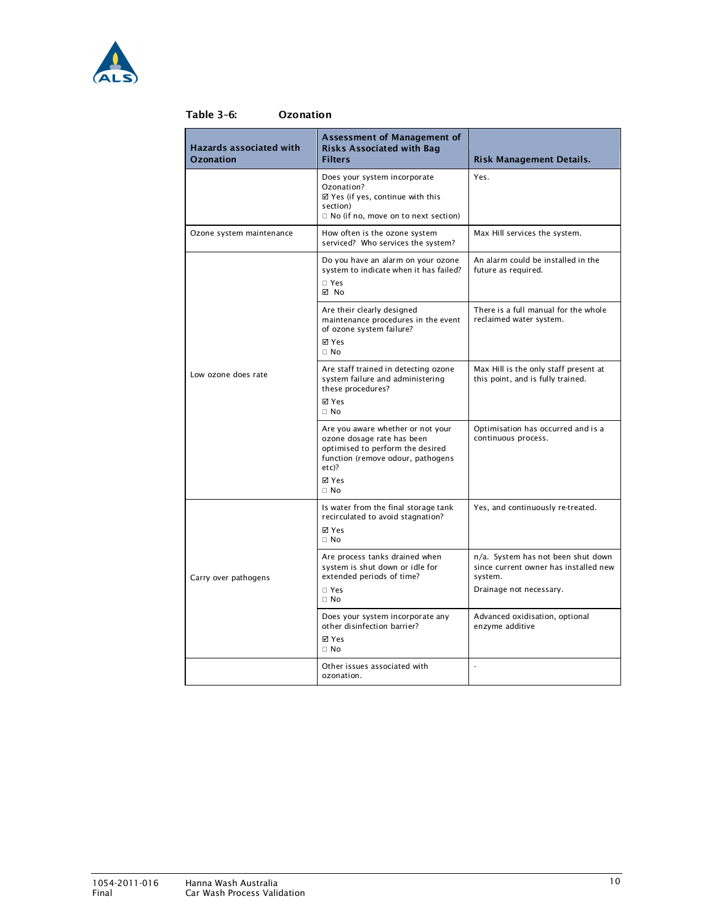

| <b>Hazards associated with</b><br><b>Ozonation</b> | Assessment of Management of<br><b>Risks Associated with Bag</b><br><b>Filters</b>                                                                    | Risk Management Details.                                                               |
|----------------------------------------------------|------------------------------------------------------------------------------------------------------------------------------------------------------|----------------------------------------------------------------------------------------|
|                                                    | Does your system incorporate<br>Ozonation?<br>⊠ Yes (if yes, continue with this<br>section)<br>Q No (if no, move on to next section)                 | Yes.                                                                                   |
| Ozone system maintenance                           | How often is the ozone system<br>serviced? Who services the system?                                                                                  | Max Hill services the system.                                                          |
|                                                    | Do you have an alarm on your ozone<br>system to indicate when it has failed?<br>Q Yes<br>⊠ No                                                        | An alarm could be installed in the<br>future as required.                              |
|                                                    | Are their clearly designed<br>maintenance procedures in the event<br>of ozone system failure?<br>⊠ Yes<br>O No                                       | There is a full manual for the whole<br>reclaimed water system.                        |
| Low ozone does rate                                | Are staff trained in detecting ozone<br>system failure and administering<br>these procedures?<br>⊠ Yes<br>O No                                       | Max Hill is the only staff present at<br>this point, and is fully trained.             |
|                                                    | Are you aware whether or not your<br>ozone dosage rate has been<br>optimised to perform the desired<br>function (remove odour, pathogens<br>$etc$ )? | Optimisation has occurred and is a<br>continuous process.                              |
|                                                    | ⊠ Yes<br>Q No                                                                                                                                        |                                                                                        |
|                                                    | Is water from the final storage tank<br>recirculated to avoid stagnation?<br><b>M</b> Yes<br>Q No                                                    | Yes, and continuously re-treated.                                                      |
| Carry over pathogens                               | Are process tanks drained when<br>system is shut down or idle for<br>extended periods of time?                                                       | n/a. System has not been shut down<br>since current owner has installed new<br>system. |
|                                                    | Q Yes<br>O No                                                                                                                                        | Drainage not necessary.                                                                |
|                                                    | Does your system incorporate any<br>other disinfection barrier?<br><b>⊠</b> Yes<br>Q No                                                              | Advanced oxidisation, optional<br>enzyme additive                                      |
|                                                    | Other issues associated with<br>ozonation.                                                                                                           | L,                                                                                     |

### Table 3–6: Ozonation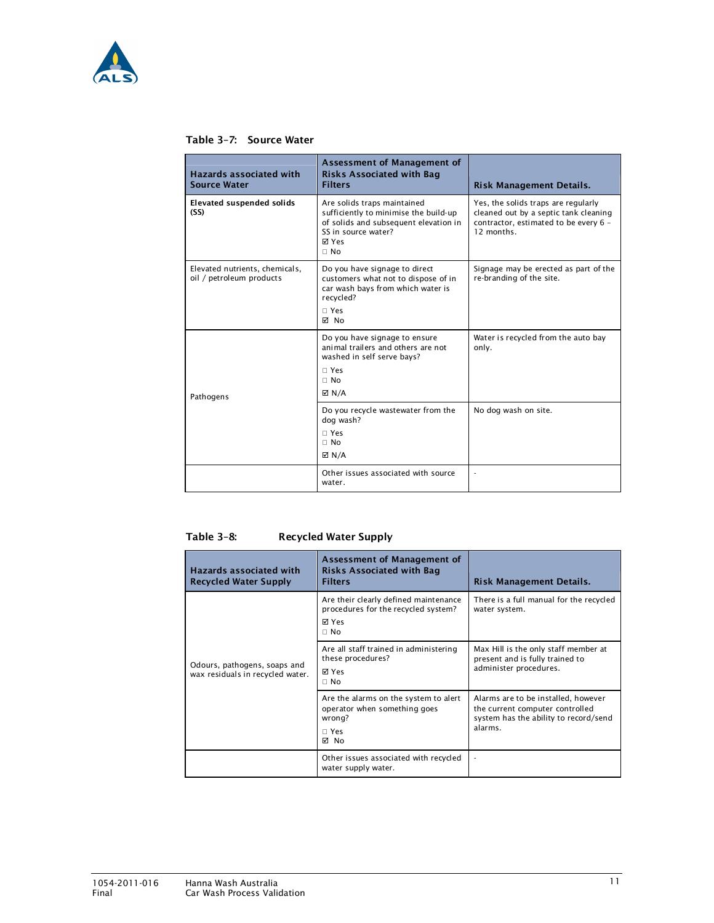

### Table 3–7: Source Water

| <b>Hazards associated with</b><br><b>Source Water</b>      | <b>Assessment of Management of</b><br><b>Risks Associated with Bag</b><br><b>Filters</b>                                                                     | Risk Management Details.                                                                                                           |
|------------------------------------------------------------|--------------------------------------------------------------------------------------------------------------------------------------------------------------|------------------------------------------------------------------------------------------------------------------------------------|
| <b>Elevated suspended solids</b><br>(SS)                   | Are solids traps maintained<br>sufficiently to minimise the build-up<br>of solids and subsequent elevation in<br>SS in source water?<br><b>⊠</b> Yes<br>Q No | Yes, the solids traps are regularly<br>cleaned out by a septic tank cleaning<br>contractor, estimated to be every 6 -<br>12 months |
| Elevated nutrients, chemicals,<br>oil / petroleum products | Do you have signage to direct<br>customers what not to dispose of in<br>car wash bays from which water is<br>recycled?<br>Q Yes<br>⊠ No                      | Signage may be erected as part of the<br>re-branding of the site.                                                                  |
| Pathogens                                                  | Do you have signage to ensure<br>animal trailers and others are not<br>washed in self serve bays?<br>Q Yes<br>Q No<br>$\boxtimes$ N/A                        | Water is recycled from the auto bay<br>only.                                                                                       |
|                                                            | Do you recycle wastewater from the<br>dog wash?<br>Q Yes<br>Q No<br>$\boxtimes$ N/A                                                                          | No dog wash on site.                                                                                                               |
|                                                            | Other issues associated with source<br>water.                                                                                                                |                                                                                                                                    |

### Table 3–8: Recycled Water Supply

| <b>Hazards associated with</b><br><b>Recycled Water Supply</b>   | Assessment of Management of<br><b>Risks Associated with Bag</b><br><b>Filters</b>                | Risk Management Details.                                                                                                   |
|------------------------------------------------------------------|--------------------------------------------------------------------------------------------------|----------------------------------------------------------------------------------------------------------------------------|
|                                                                  | Are their clearly defined maintenance<br>procedures for the recycled system?<br>া Yes<br>O No    | There is a full manual for the recycled<br>water system.                                                                   |
| Odours, pathogens, soaps and<br>wax residuals in recycled water. | Are all staff trained in administering<br>these procedures?<br>⊠ Yes<br>Q No                     | Max Hill is the only staff member at<br>present and is fully trained to<br>administer procedures.                          |
|                                                                  | Are the alarms on the system to alert<br>operator when something goes<br>wrong?<br>Q Yes<br>⊠ No | Alarms are to be installed, however<br>the current computer controlled<br>system has the ability to record/send<br>alarms. |
|                                                                  | Other issues associated with recycled<br>water supply water.                                     |                                                                                                                            |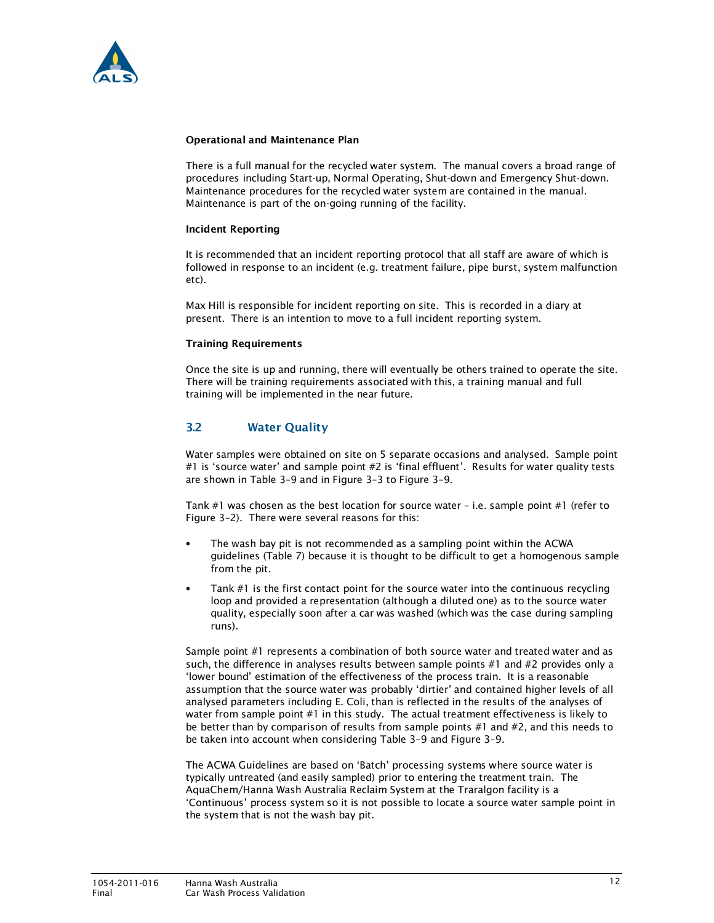

### Operational and Maintenance Plan

There is a full manual for the recycled water system. The manual covers a broad range of procedures including Start-up, Normal Operating, Shut-down and Emergency Shut-down. Maintenance procedures for the recycled water system are contained in the manual. Maintenance is part of the on-going running of the facility.

### Incident Reporting

It is recommended that an incident reporting protocol that all staff are aware of which is followed in response to an incident (e.g. treatment failure, pipe burst, system malfunction etc).

Max Hill is responsible for incident reporting on site. This is recorded in a diary at present. There is an intention to move to a full incident reporting system.

### Training Requirements

Once the site is up and running, there will eventually be others trained to operate the site. There will be training requirements associated with this, a training manual and full training will be implemented in the near future.

### 3.2 Water Quality

Water samples were obtained on site on 5 separate occasions and analysed. Sample point #1 is 'source water' and sample point #2 is 'final effluent'. Results for water quality tests are shown in Table 3–9 and in Figure 3–3 to Figure 3–9.

Tank #1 was chosen as the best location for source water – i.e. sample point #1 (refer to Figure 3–2). There were several reasons for this:

- The wash bay pit is not recommended as a sampling point within the ACWA guidelines (Table 7) because it is thought to be difficult to get a homogenous sample from the pit.
- Tank  $#1$  is the first contact point for the source water into the continuous recycling loop and provided a representation (although a diluted one) as to the source water quality, especially soon after a car was washed (which was the case during sampling runs).

Sample point #1 represents a combination of both source water and treated water and as such, the difference in analyses results between sample points #1 and #2 provides only a 'lower bound' estimation of the effectiveness of the process train. It is a reasonable assumption that the source water was probably 'dirtier' and contained higher levels of all analysed parameters including E. Coli, than is reflected in the results of the analyses of water from sample point #1 in this study. The actual treatment effectiveness is likely to be better than by comparison of results from sample points #1 and #2, and this needs to be taken into account when considering Table 3–9 and Figure 3–9.

The ACWA Guidelines are based on 'Batch' processing systems where source water is typically untreated (and easily sampled) prior to entering the treatment train. The AquaChem/Hanna Wash Australia Reclaim System at the Traralgon facility is a 'Continuous' process system so it is not possible to locate a source water sample point in the system that is not the wash bay pit.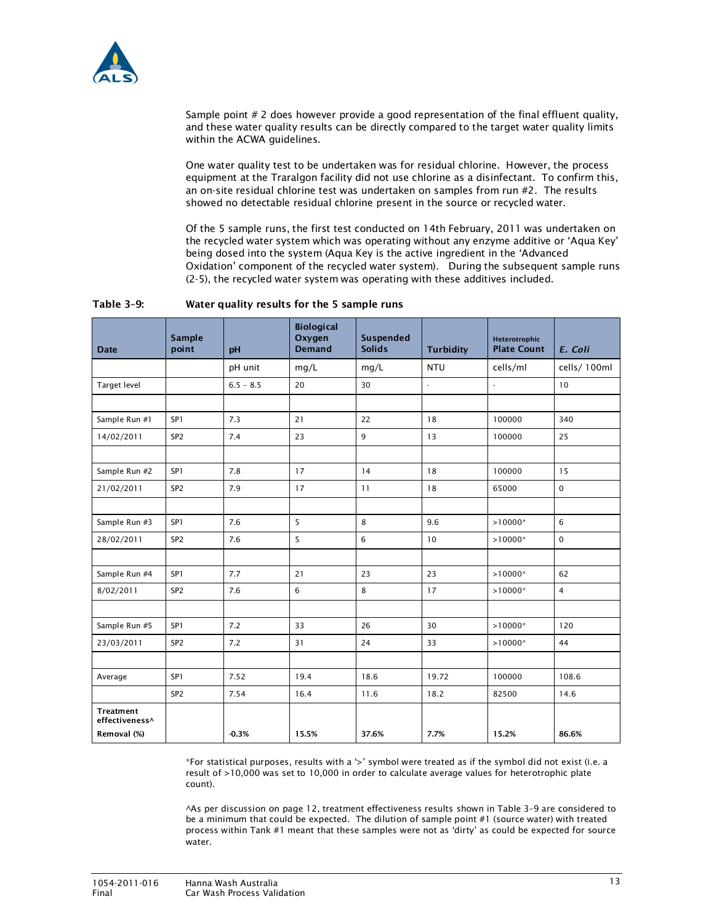

Sample point # 2 does however provide a good representation of the final effluent quality, and these water quality results can be directly compared to the target water quality limits within the ACWA guidelines.

One water quality test to be undertaken was for residual chlorine. However, the process equipment at the Traralgon facility did not use chlorine as a disinfectant. To confirm this, an on-site residual chlorine test was undertaken on samples from run #2. The results showed no detectable residual chlorine present in the source or recycled water.

Of the 5 sample runs, the first test conducted on 14th February, 2011 was undertaken on the recycled water system which was operating without any enzyme additive or 'Aqua Key' being dosed into the system (Aqua Key is the active ingredient in the 'Advanced Oxidation' component of the recycled water system). During the subsequent sample runs (2-5), the recycled water system was operating with these additives included.

| <b>Date</b>                 | <b>Sample</b><br>point | pH          | <b>Biological</b><br>Oxygen<br><b>Demand</b> | <b>Suspended</b><br><b>Solids</b> | <b>Turbidity</b>         | Heterotrophic<br><b>Plate Count</b> | E. Coli        |
|-----------------------------|------------------------|-------------|----------------------------------------------|-----------------------------------|--------------------------|-------------------------------------|----------------|
|                             |                        | pH unit     | mg/L                                         | mq/L                              | <b>NTU</b>               | cells/ml                            | cells/100ml    |
| <b>Target level</b>         |                        | $6.5 - 8.5$ | 20                                           | 30                                | $\overline{\phantom{a}}$ | ÷.                                  | 10             |
|                             |                        |             |                                              |                                   |                          |                                     |                |
| Sample Run #1               | SP <sub>1</sub>        | 7.3         | 21                                           | 22                                | 18                       | 100000                              | 340            |
| 14/02/2011                  | SP <sub>2</sub>        | 7.4         | 23                                           | 9                                 | 13                       | 100000                              | 25             |
|                             |                        |             |                                              |                                   |                          |                                     |                |
| Sample Run #2               | SP <sub>1</sub>        | 7.8         | 17                                           | 14                                | 18                       | 100000                              | 15             |
| 21/02/2011                  | SP <sub>2</sub>        | 7.9         | 17                                           | 11                                | 18                       | 65000                               | $\mathbf 0$    |
|                             |                        |             |                                              |                                   |                          |                                     |                |
| Sample Run #3               | SP <sub>1</sub>        | 7.6         | 5                                            | 8                                 | 9.6                      | $>10000*$                           | 6              |
| 28/02/2011                  | SP <sub>2</sub>        | 7.6         | 5                                            | 6                                 | 10                       | $>10000*$                           | $\mathbf 0$    |
|                             |                        |             |                                              |                                   |                          |                                     |                |
| Sample Run #4               | SP <sub>1</sub>        | 7.7         | 21                                           | 23                                | 23                       | $>10000*$                           | 62             |
| 8/02/2011                   | SP <sub>2</sub>        | 7.6         | 6                                            | 8                                 | 17                       | $>10000*$                           | $\overline{4}$ |
|                             |                        |             |                                              |                                   |                          |                                     |                |
| Sample Run #5               | SP <sub>1</sub>        | 7.2         | 33                                           | 26                                | 30                       | $>10000*$                           | 120            |
| 23/03/2011                  | SP <sub>2</sub>        | 7.2         | 31                                           | 24                                | 33                       | $>10000*$                           | 44             |
|                             |                        |             |                                              |                                   |                          |                                     |                |
| Average                     | SP1                    | 7.52        | 19.4                                         | 18.6                              | 19.72                    | 100000                              | 108.6          |
|                             | SP <sub>2</sub>        | 7.54        | 16.4                                         | 11.6                              | 18.2                     | 82500                               | 14.6           |
| Treatment<br>effectiveness^ |                        |             |                                              |                                   |                          |                                     |                |
| Removal (%)                 |                        | $-0.3%$     | 15.5%                                        | 37.6%                             | 7.7%                     | 15.2%                               | 86.6%          |

### Table 3–9: Water quality results for the 5 sample runs

\*For statistical purposes, results with a '>' symbol were treated as if the symbol did not exist (i.e. a result of >10,000 was set to 10,000 in order to calculate average values for heterotrophic plate count).

^As per discussion on page 12, treatment effectiveness results shown in Table 3–9 are considered to be a minimum that could be expected. The dilution of sample point #1 (source water) with treated process within Tank #1 meant that these samples were not as 'dirty' as could be expected for source water.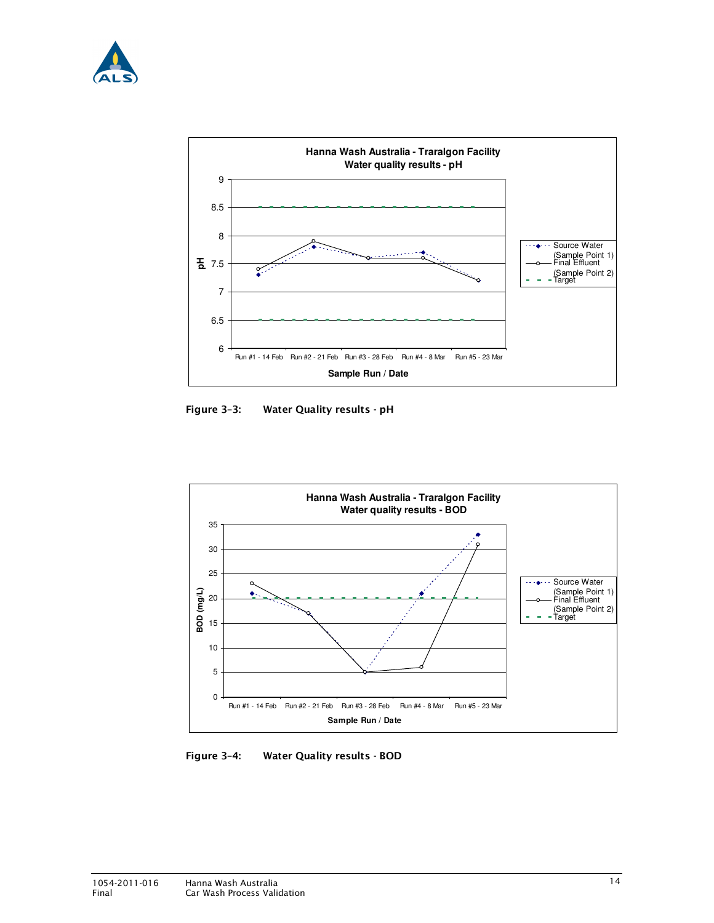



Figure 3–3: Water Quality results - pH



Figure 3–4: Water Quality results - BOD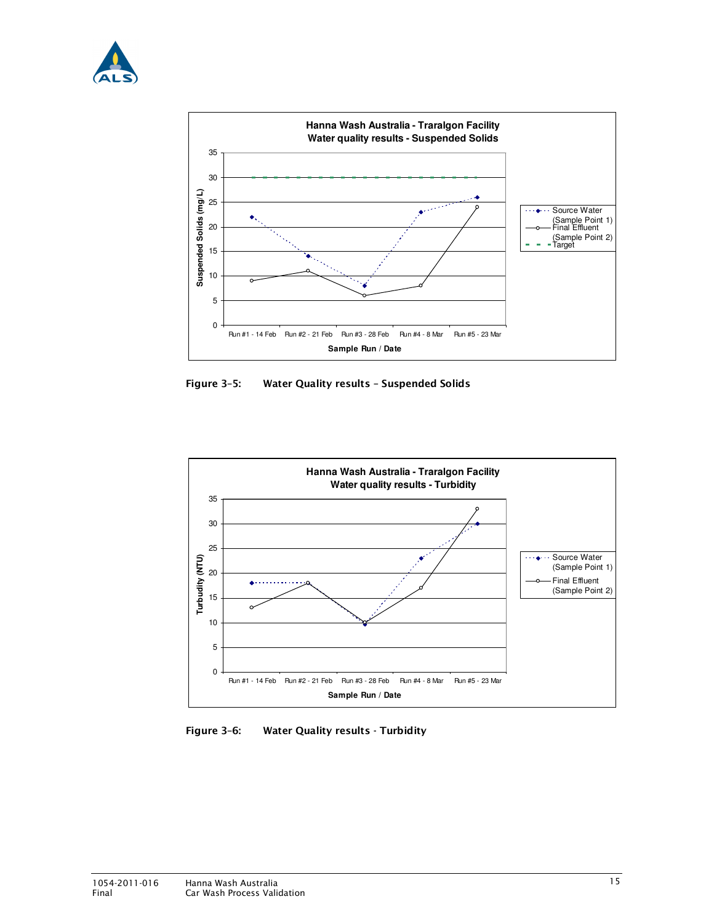



Figure 3–5: Water Quality results – Suspended Solids



Figure 3–6: Water Quality results - Turbidity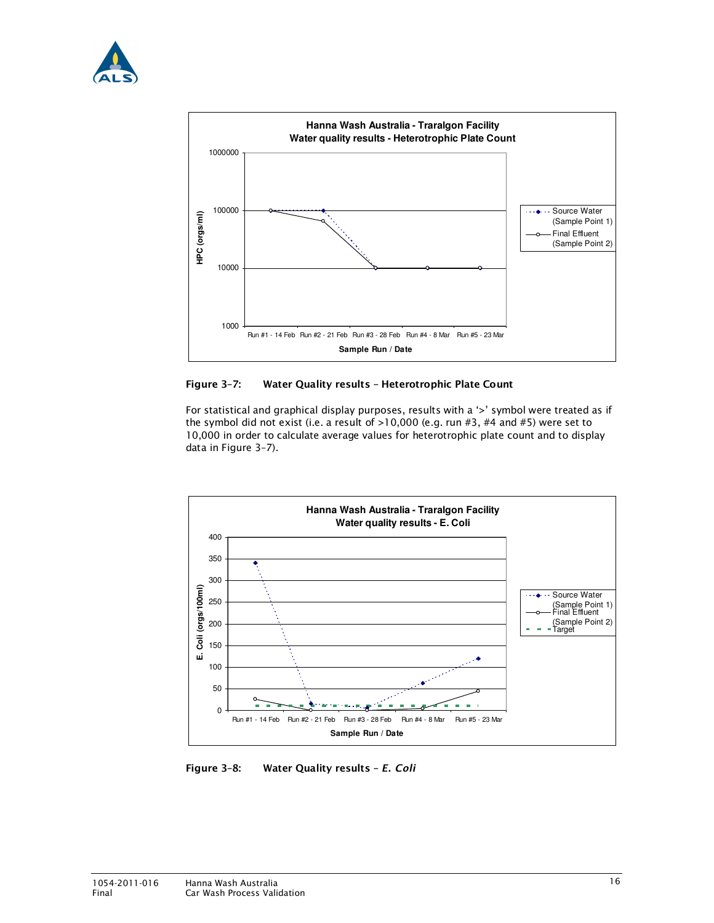



### Figure 3–7: Water Quality results – Heterotrophic Plate Count

For statistical and graphical display purposes, results with a '>' symbol were treated as if the symbol did not exist (i.e. a result of >10,000 (e.g. run #3, #4 and #5) were set to 10,000 in order to calculate average values for heterotrophic plate count and to display data in Figure 3–7).



Figure 3–8: Water Quality results – E. Coli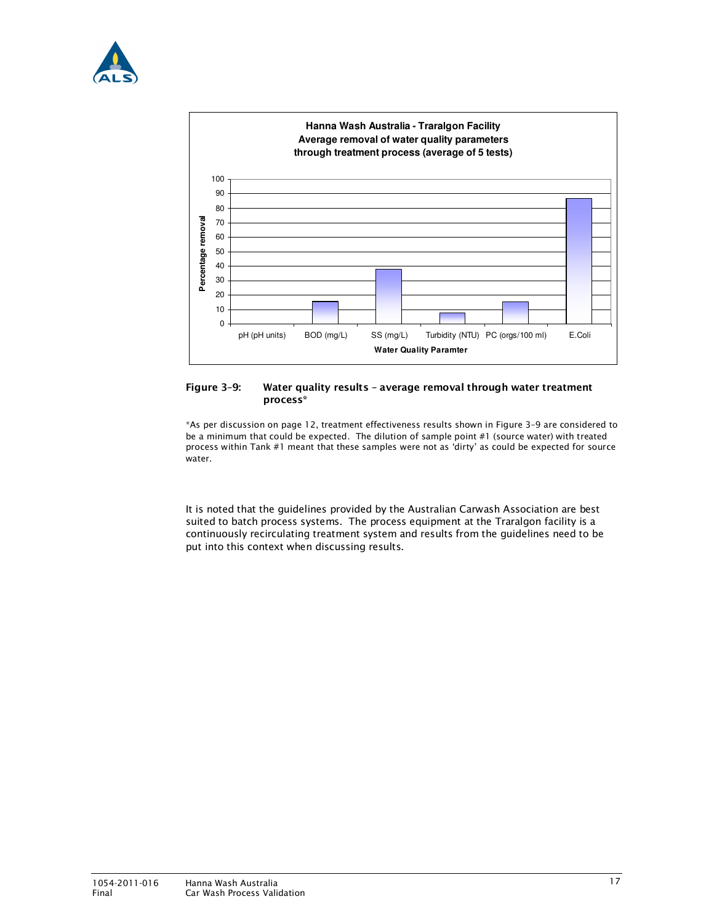



### Figure 3–9: Water quality results – average removal through water treatment process\*

\*As per discussion on page 12, treatment effectiveness results shown in Figure 3–9 are considered to be a minimum that could be expected. The dilution of sample point #1 (source water) with treated process within Tank #1 meant that these samples were not as 'dirty' as could be expected for source water.

It is noted that the guidelines provided by the Australian Carwash Association are best suited to batch process systems. The process equipment at the Traralgon facility is a continuously recirculating treatment system and results from the guidelines need to be put into this context when discussing results.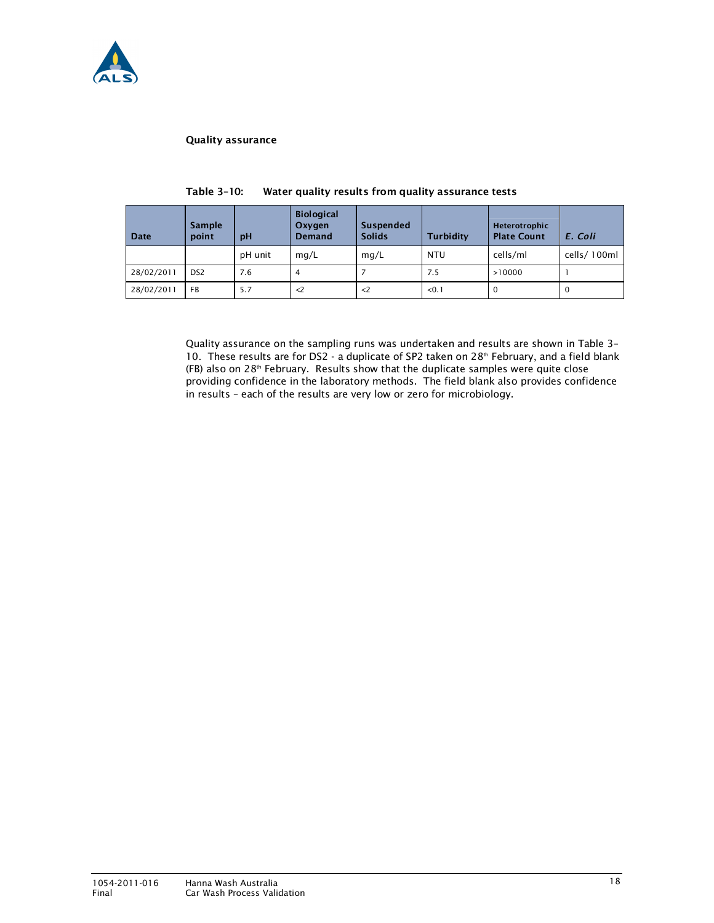

### Quality assurance

| Date       | <b>Sample</b><br>point | pH      | <b>Biological</b><br>Oxygen<br><b>Demand</b> | Suspended<br><b>Solids</b> | <b>Turbidity</b> | Heterotrophic<br><b>Plate Count</b> | E. Coli     |
|------------|------------------------|---------|----------------------------------------------|----------------------------|------------------|-------------------------------------|-------------|
|            |                        | pH unit | mq/L                                         | mq/L                       | NTU              | cells/ml                            | cells/100ml |
| 28/02/2011 | DS <sub>2</sub>        | 7.6     | 4                                            |                            | 7.5              | >10000                              |             |
| 28/02/2011 | <b>FB</b>              | 5.7     | $\langle$ 2                                  | $\langle$ 2                | < 0.1            | 0                                   | $\mathbf 0$ |

| Table 3-10: |  | Water quality results from quality assurance tests |
|-------------|--|----------------------------------------------------|
|             |  |                                                    |

Quality assurance on the sampling runs was undertaken and results are shown in Table 3– 10. These results are for DS2 - a duplicate of SP2 taken on  $28<sup>th</sup>$  February, and a field blank  $(FB)$  also on 28<sup>th</sup> February. Results show that the duplicate samples were quite close providing confidence in the laboratory methods. The field blank also provides confidence in results – each of the results are very low or zero for microbiology.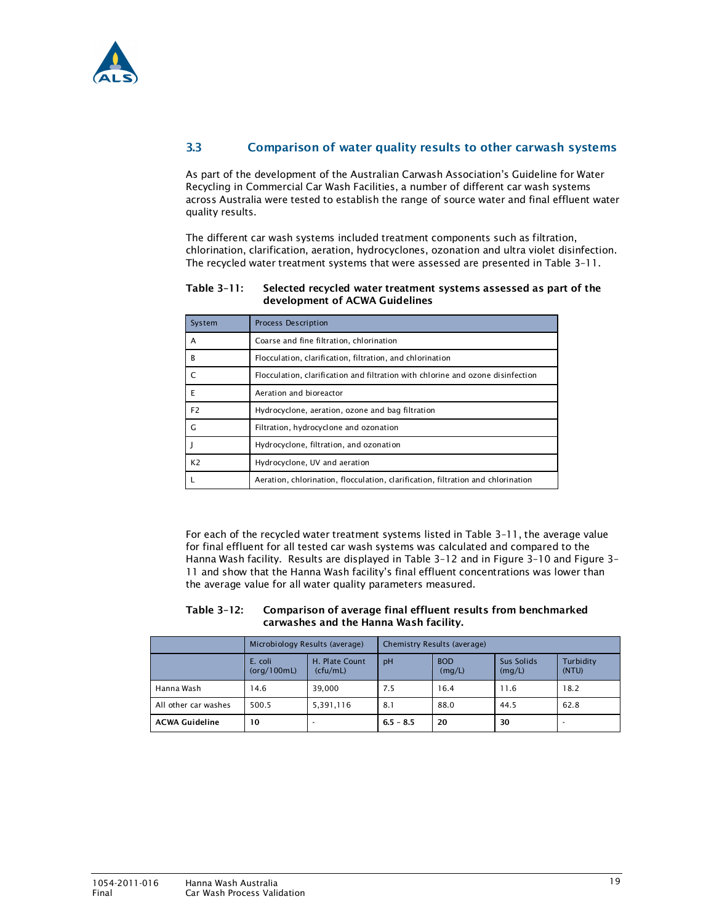

### 3.3 Comparison of water quality results to other carwash systems

As part of the development of the Australian Carwash Association's Guideline for Water Recycling in Commercial Car Wash Facilities, a number of different car wash systems across Australia were tested to establish the range of source water and final effluent water quality results.

The different car wash systems included treatment components such as filtration, chlorination, clarification, aeration, hydrocyclones, ozonation and ultra violet disinfection. The recycled water treatment systems that were assessed are presented in Table 3–11.

| System         | Process Description                                                              |
|----------------|----------------------------------------------------------------------------------|
| A              | Coarse and fine filtration, chlorination                                         |
| в              | Flocculation, clarification, filtration, and chlorination                        |
|                | Flocculation, clarification and filtration with chlorine and ozone disinfection  |
| E              | Aeration and bioreactor                                                          |
| F <sub>2</sub> | Hydrocyclone, aeration, ozone and bag filtration                                 |
| G              | Filtration, hydrocyclone and ozonation                                           |
|                | Hydrocyclone, filtration, and ozonation                                          |
| K <sub>2</sub> | Hydrocyclone, UV and aeration                                                    |
|                | Aeration, chlorination, flocculation, clarification, filtration and chlorination |

### Table 3–11: Selected recycled water treatment systems assessed as part of the development of ACWA Guidelines

For each of the recycled water treatment systems listed in Table 3–11, the average value for final effluent for all tested car wash systems was calculated and compared to the Hanna Wash facility. Results are displayed in Table 3–12 and in Figure 3–10 and Figure 3– 11 and show that the Hanna Wash facility's final effluent concentrations was lower than the average value for all water quality parameters measured.

### Table 3–12: Comparison of average final effluent results from benchmarked carwashes and the Hanna Wash facility.

|                       | Microbiology Results (average) |                            | Chemistry Results (average) |                      |                      |                    |
|-----------------------|--------------------------------|----------------------------|-----------------------------|----------------------|----------------------|--------------------|
|                       | E. coli<br>(org/100mL)         | H. Plate Count<br>(cfu/mL) | pH                          | <b>BOD</b><br>(mg/L) | Sus Solids<br>(mg/L) | Turbidity<br>(NTU) |
| Hanna Wash            | 14.6                           | 39.000                     | 7.5                         | 16.4                 | 11.6                 | 18.2               |
| All other car washes  | 500.5                          | 5,391,116                  | 8.1                         | 88.0                 | 44.5                 | 62.8               |
| <b>ACWA Guideline</b> | 10                             |                            | $6.5 - 8.5$                 | 20                   | 30                   |                    |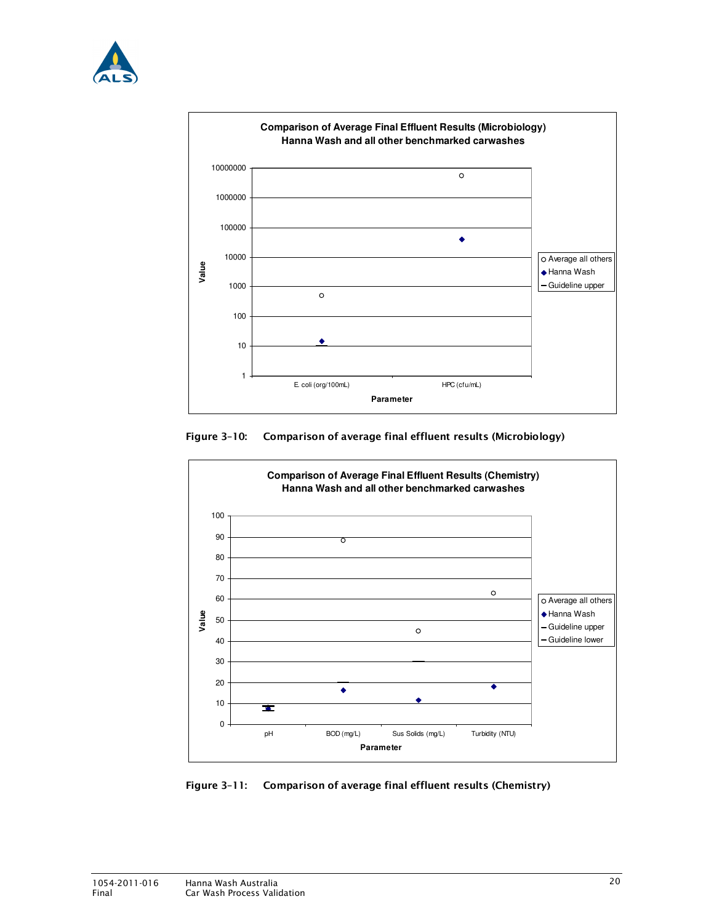







Figure 3–11: Comparison of average final effluent results (Chemistry)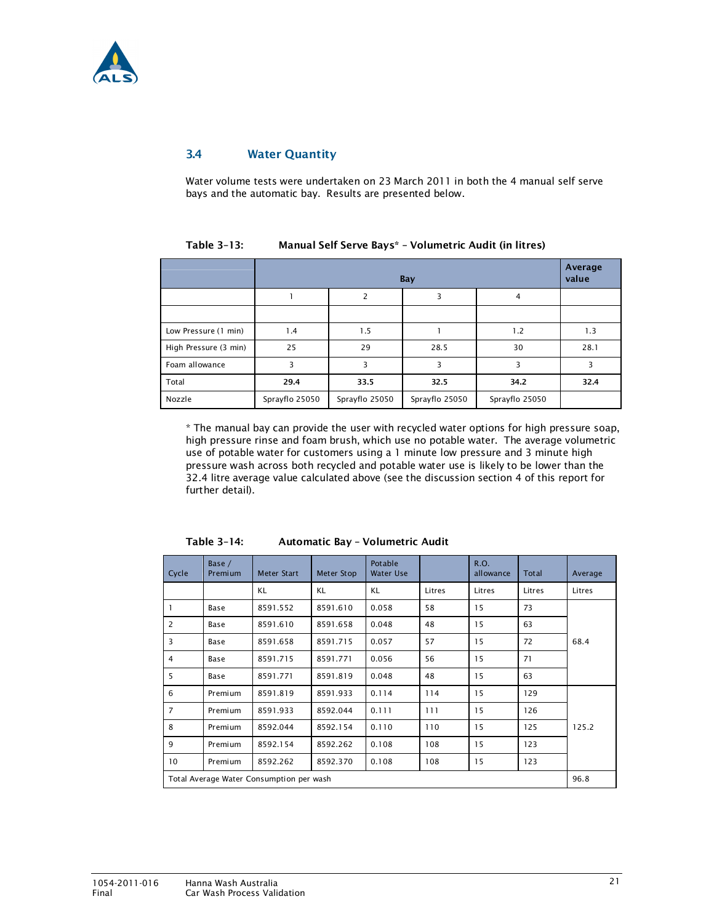

### 3.4 Water Quantity

Water volume tests were undertaken on 23 March 2011 in both the 4 manual self serve bays and the automatic bay. Results are presented below.

| Table 3-13: | Manual Self Serve Bays* - Volumetric Audit (in litres) |               |  |  |  |
|-------------|--------------------------------------------------------|---------------|--|--|--|
|             | <b>Designation</b>                                     | Av<br>- - - 1 |  |  |  |

|                       |                | Average<br>value |                |                |      |
|-----------------------|----------------|------------------|----------------|----------------|------|
|                       |                | 2                | 3              | 4              |      |
|                       |                |                  |                |                |      |
| Low Pressure (1 min)  | 1.4            | 1.5              |                | 1.2            | 1.3  |
| High Pressure (3 min) | 25             | 29               | 28.5           | 30             | 28.1 |
| Foam allowance        | 3              | 3                | 3              | 3              | 3    |
| Total                 | 29.4           | 33.5             | 32.5           | 34.2           | 32.4 |
| Nozzle                | Sprayflo 25050 | Sprayflo 25050   | Sprayflo 25050 | Sprayflo 25050 |      |

\* The manual bay can provide the user with recycled water options for high pressure soap, high pressure rinse and foam brush, which use no potable water. The average volumetric use of potable water for customers using a 1 minute low pressure and 3 minute high pressure wash across both recycled and potable water use is likely to be lower than the 32.4 litre average value calculated above (see the discussion section 4 of this report for further detail).

| Table 3– |  |  |
|----------|--|--|
|          |  |  |

Automatic Bay - Volumetric Audit

| Cycle           | Base /<br>Premium | <b>Meter Start</b>                       | Meter Stop | Potable<br><b>Water Use</b> |        | R.O.<br>allowance | <b>Total</b> | Average |
|-----------------|-------------------|------------------------------------------|------------|-----------------------------|--------|-------------------|--------------|---------|
|                 |                   | KL                                       | KL         | KL                          | Litres | Litres            | Litres       | Litres  |
| 1               | Base              | 8591.552                                 | 8591.610   | 0.058                       | 58     | 15                | 73           |         |
| $\overline{2}$  | Base              | 8591.610                                 | 8591.658   | 0.048                       | 48     | 15                | 63           |         |
| 3               | Base              | 8591.658                                 | 8591.715   | 0.057                       | 57     | 15                | 72           | 68.4    |
| $\overline{4}$  | Base              | 8591.715                                 | 8591.771   | 0.056                       | 56     | 15                | 71           |         |
| 5               | Base              | 8591.771                                 | 8591.819   | 0.048                       | 48     | 15                | 63           |         |
| 6               | Premium           | 8591.819                                 | 8591.933   | 0.114                       | 114    | 15                | 129          |         |
| $\overline{7}$  | Premium           | 8591.933                                 | 8592.044   | 0.111                       | 111    | 15                | 126          |         |
| 8               | Premium           | 8592.044                                 | 8592.154   | 0.110                       | 110    | 15                | 125          | 125.2   |
| 9               | Premium           | 8592.154                                 | 8592.262   | 0.108                       | 108    | 15                | 123          |         |
| 10 <sup>°</sup> | Premium           | 8592.262                                 | 8592.370   | 0.108                       | 108    | 15                | 123          |         |
|                 |                   | Total Average Water Consumption per wash |            |                             |        |                   |              | 96.8    |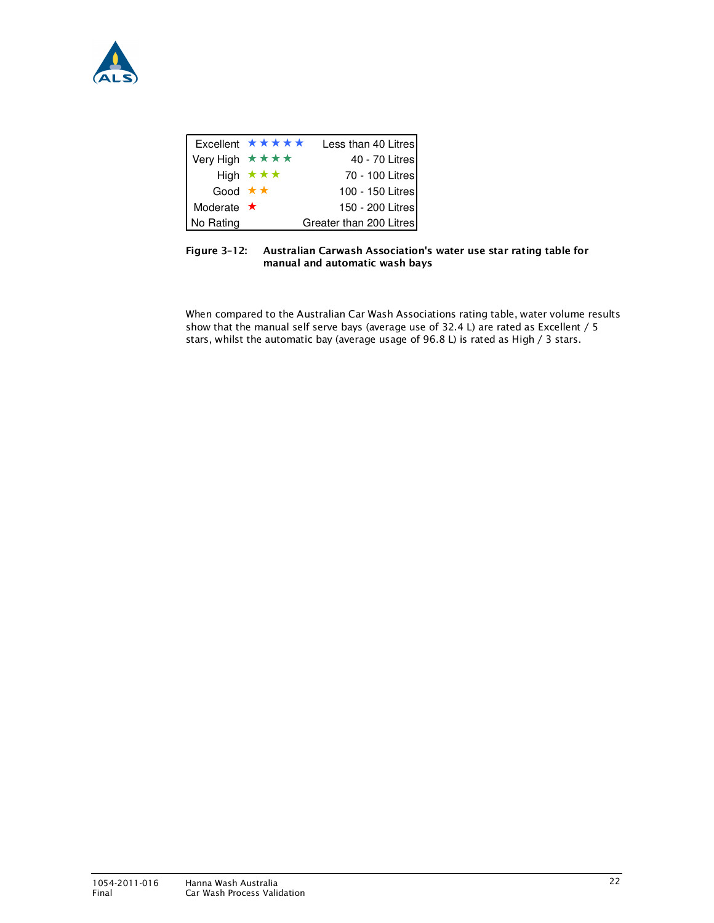

|                    | Excellent ★★★★★          | Less than 40 Litres     |
|--------------------|--------------------------|-------------------------|
| Very High ★★★★     |                          | 40 - 70 Litres          |
|                    | High $\star \star \star$ | 70 - 100 Litres         |
| Good $\star \star$ |                          | 100 - 150 Litres        |
| Moderate $\star$   |                          | 150 - 200 Litres        |
| No Rating          |                          | Greater than 200 Litres |

Figure 3–12: Australian Carwash Association's water use star rating table for manual and automatic wash bays

When compared to the Australian Car Wash Associations rating table, water volume results show that the manual self serve bays (average use of 32.4 L) are rated as Excellent / 5 stars, whilst the automatic bay (average usage of 96.8 L) is rated as High / 3 stars.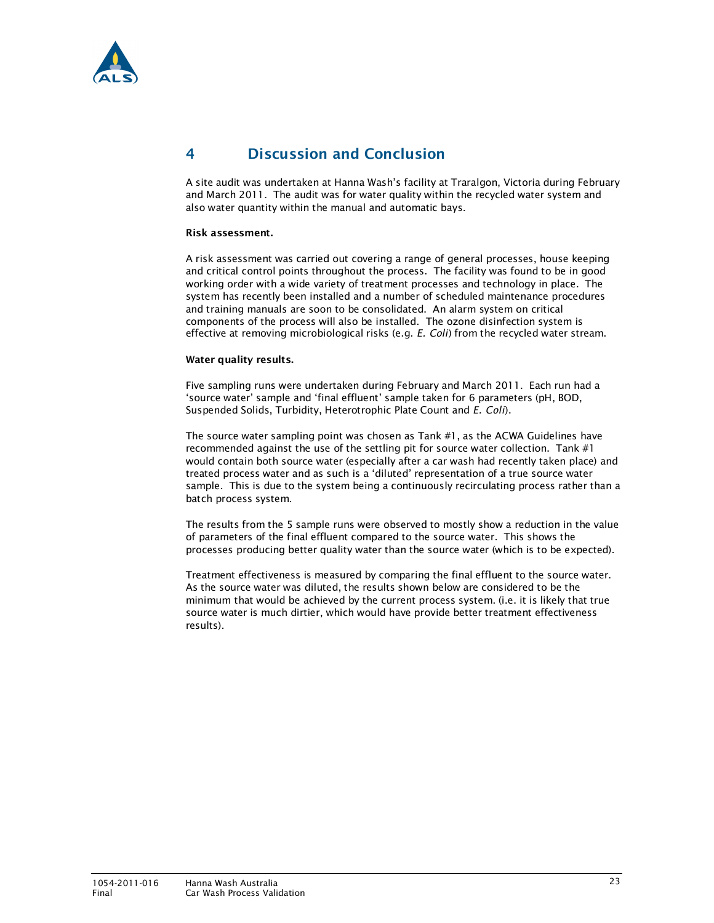

# 4 Discussion and Conclusion

A site audit was undertaken at Hanna Wash's facility at Traralgon, Victoria during February and March 2011. The audit was for water quality within the recycled water system and also water quantity within the manual and automatic bays.

### Risk assessment.

A risk assessment was carried out covering a range of general processes, house keeping and critical control points throughout the process. The facility was found to be in good working order with a wide variety of treatment processes and technology in place. The system has recently been installed and a number of scheduled maintenance procedures and training manuals are soon to be consolidated. An alarm system on critical components of the process will also be installed. The ozone disinfection system is effective at removing microbiological risks (e.g. E. Coli) from the recycled water stream.

### Water quality results.

Five sampling runs were undertaken during February and March 2011. Each run had a 'source water' sample and 'final effluent' sample taken for 6 parameters (pH, BOD, Suspended Solids, Turbidity, Heterotrophic Plate Count and E. Coli).

The source water sampling point was chosen as Tank #1, as the ACWA Guidelines have recommended against the use of the settling pit for source water collection. Tank  $#1$ would contain both source water (especially after a car wash had recently taken place) and treated process water and as such is a 'diluted' representation of a true source water sample. This is due to the system being a continuously recirculating process rather than a batch process system.

The results from the 5 sample runs were observed to mostly show a reduction in the value of parameters of the final effluent compared to the source water. This shows the processes producing better quality water than the source water (which is to be expected).

Treatment effectiveness is measured by comparing the final effluent to the source water. As the source water was diluted, the results shown below are considered to be the minimum that would be achieved by the current process system. (i.e. it is likely that true source water is much dirtier, which would have provide better treatment effectiveness results).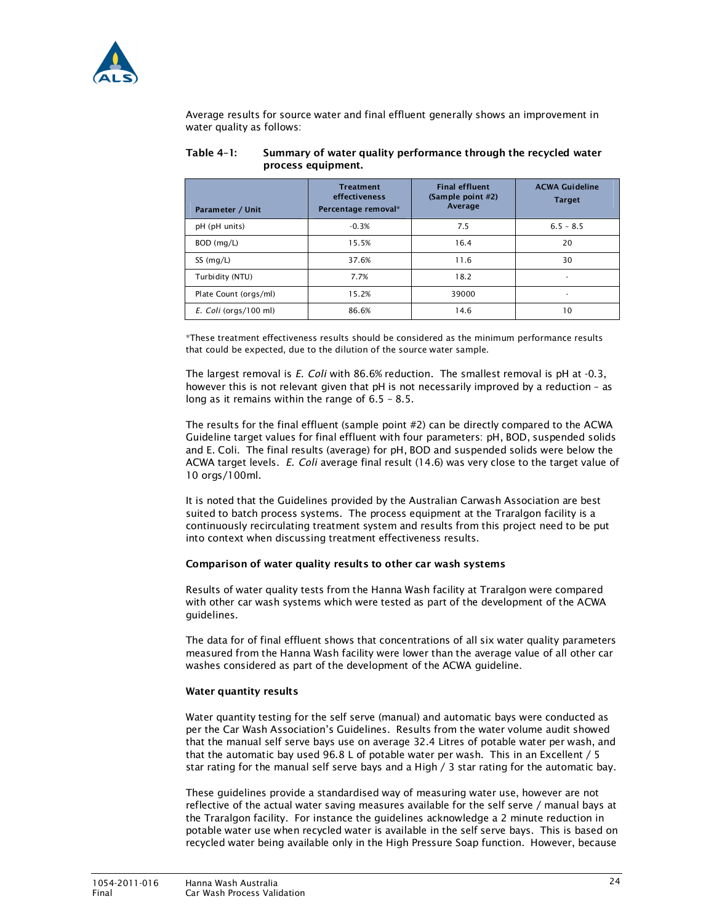

Average results for source water and final effluent generally shows an improvement in water quality as follows:

| Parameter / Unit      | <b>Treatment</b><br>effectiveness<br>Percentage removal* | <b>Final effluent</b><br>(Sample point #2)<br>Average | <b>ACWA Guideline</b><br><b>Target</b> |
|-----------------------|----------------------------------------------------------|-------------------------------------------------------|----------------------------------------|
| pH (pH units)         | $-0.3%$                                                  | 7.5                                                   | $6.5 - 8.5$                            |
| BOD (mg/L)            | 15.5%                                                    | 16.4                                                  | 20                                     |
| SS (mg/L)             | 37.6%                                                    | 11.6                                                  | 30                                     |
| Turbidity (NTU)       | 7.7%                                                     | 18.2                                                  |                                        |
| Plate Count (orgs/ml) | 15.2%                                                    | 39000                                                 | $\overline{\phantom{a}}$               |
| E. Coli (orgs/100 ml) | 86.6%                                                    | 14.6                                                  | 10                                     |

### Table 4–1: Summary of water quality performance through the recycled water process equipment.

\*These treatment effectiveness results should be considered as the minimum performance results that could be expected, due to the dilution of the source water sample.

The largest removal is E. Coli with 86.6% reduction. The smallest removal is pH at -0.3, however this is not relevant given that pH is not necessarily improved by a reduction - as long as it remains within the range of 6.5 – 8.5.

The results for the final effluent (sample point #2) can be directly compared to the ACWA Guideline target values for final effluent with four parameters: pH, BOD, suspended solids and E. Coli. The final results (average) for pH, BOD and suspended solids were below the ACWA target levels. E. Coli average final result (14.6) was very close to the target value of 10 orgs/100ml.

It is noted that the Guidelines provided by the Australian Carwash Association are best suited to batch process systems. The process equipment at the Traralgon facility is a continuously recirculating treatment system and results from this project need to be put into context when discussing treatment effectiveness results.

### Comparison of water quality results to other car wash systems

Results of water quality tests from the Hanna Wash facility at Traralgon were compared with other car wash systems which were tested as part of the development of the ACWA guidelines.

The data for of final effluent shows that concentrations of all six water quality parameters measured from the Hanna Wash facility were lower than the average value of all other car washes considered as part of the development of the ACWA guideline.

### Water quantity results

Water quantity testing for the self serve (manual) and automatic bays were conducted as per the Car Wash Association's Guidelines. Results from the water volume audit showed that the manual self serve bays use on average 32.4 Litres of potable water per wash, and that the automatic bay used 96.8 L of potable water per wash. This in an Excellent / 5 star rating for the manual self serve bays and a High / 3 star rating for the automatic bay.

These guidelines provide a standardised way of measuring water use, however are not reflective of the actual water saving measures available for the self serve / manual bays at the Traralgon facility. For instance the guidelines acknowledge a 2 minute reduction in potable water use when recycled water is available in the self serve bays. This is based on recycled water being available only in the High Pressure Soap function. However, because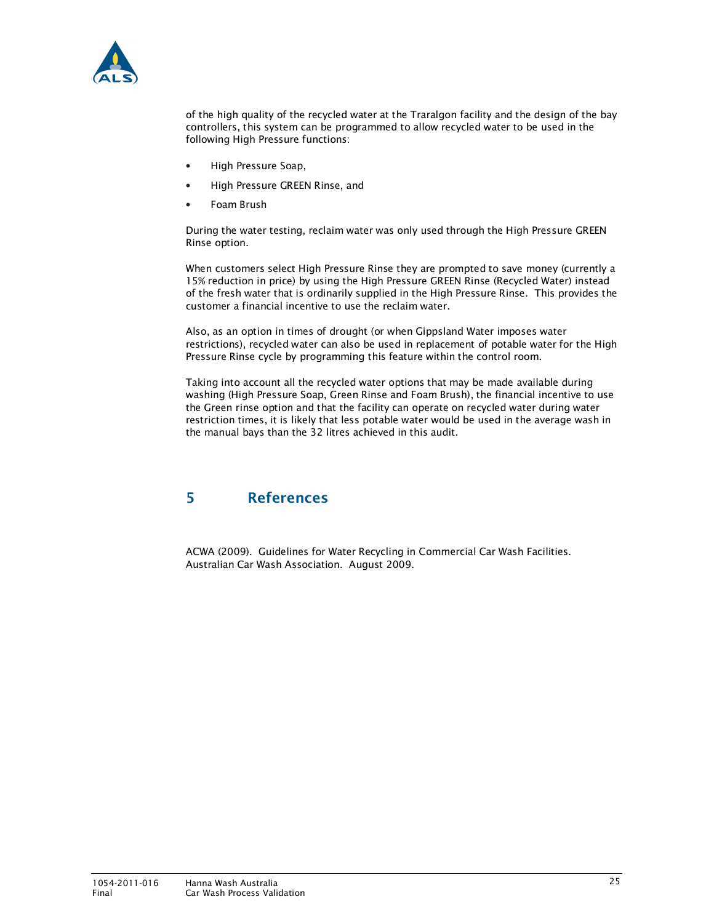

of the high quality of the recycled water at the Traralgon facility and the design of the bay controllers, this system can be programmed to allow recycled water to be used in the following High Pressure functions:

- High Pressure Soap,
- High Pressure GREEN Rinse, and
- Foam Brush

During the water testing, reclaim water was only used through the High Pressure GREEN Rinse option.

When customers select High Pressure Rinse they are prompted to save money (currently a 15% reduction in price) by using the High Pressure GREEN Rinse (Recycled Water) instead of the fresh water that is ordinarily supplied in the High Pressure Rinse. This provides the customer a financial incentive to use the reclaim water.

Also, as an option in times of drought (or when Gippsland Water imposes water restrictions), recycled water can also be used in replacement of potable water for the High Pressure Rinse cycle by programming this feature within the control room.

Taking into account all the recycled water options that may be made available during washing (High Pressure Soap, Green Rinse and Foam Brush), the financial incentive to use the Green rinse option and that the facility can operate on recycled water during water restriction times, it is likely that less potable water would be used in the average wash in the manual bays than the 32 litres achieved in this audit.

# 5 References

ACWA (2009). Guidelines for Water Recycling in Commercial Car Wash Facilities. Australian Car Wash Association. August 2009.